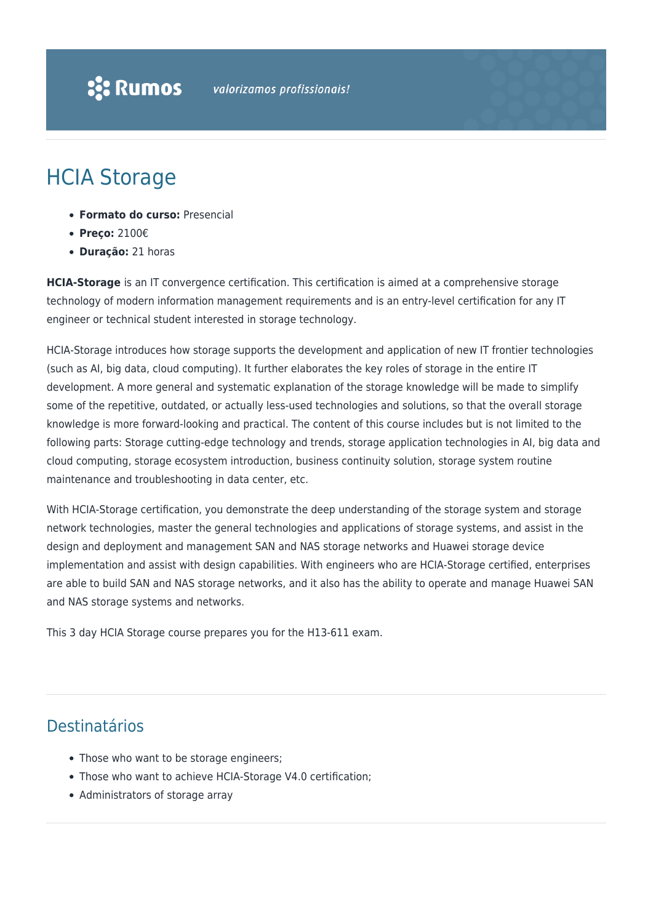# HCIA Storage

- **Formato do curso:** Presencial
- **Preço:** 2100€
- **Duração:** 21 horas

**HCIA-Storage** is an IT convergence certification. This certification is aimed at a comprehensive storage technology of modern information management requirements and is an entry-level certification for any IT engineer or technical student interested in storage technology.

HCIA-Storage introduces how storage supports the development and application of new IT frontier technologies (such as AI, big data, cloud computing). It further elaborates the key roles of storage in the entire IT development. A more general and systematic explanation of the storage knowledge will be made to simplify some of the repetitive, outdated, or actually less-used technologies and solutions, so that the overall storage knowledge is more forward-looking and practical. The content of this course includes but is not limited to the following parts: Storage cutting-edge technology and trends, storage application technologies in AI, big data and cloud computing, storage ecosystem introduction, business continuity solution, storage system routine maintenance and troubleshooting in data center, etc.

With HCIA-Storage certification, you demonstrate the deep understanding of the storage system and storage network technologies, master the general technologies and applications of storage systems, and assist in the design and deployment and management SAN and NAS storage networks and Huawei storage device implementation and assist with design capabilities. With engineers who are HCIA-Storage certified, enterprises are able to build SAN and NAS storage networks, and it also has the ability to operate and manage Huawei SAN and NAS storage systems and networks.

This 3 day HCIA Storage course prepares you for the H13-611 exam.

### Destinatários

- Those who want to be storage engineers;
- Those who want to achieve HCIA-Storage V4.0 certification;
- Administrators of storage array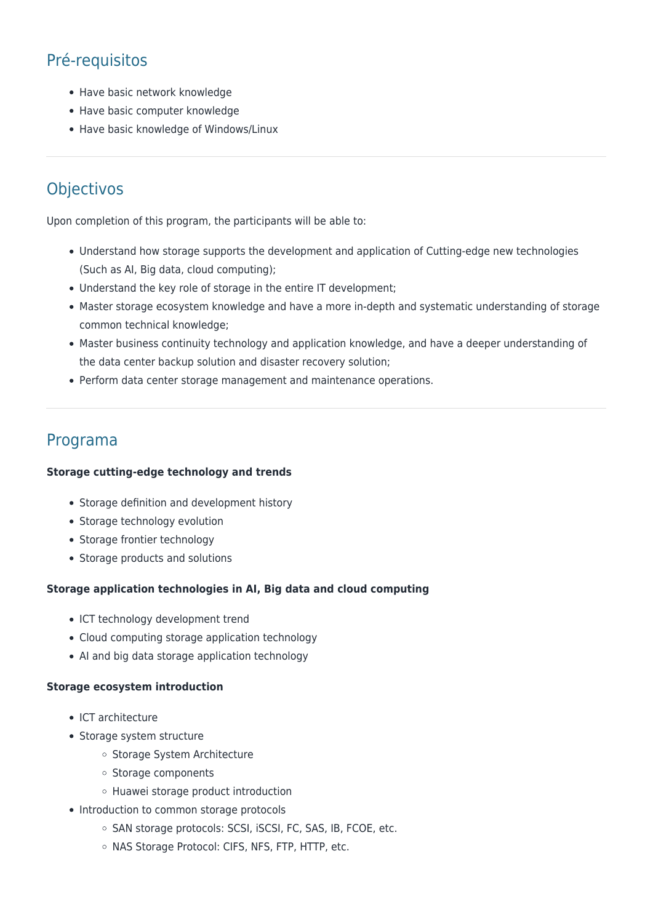## Pré-requisitos

- Have basic network knowledge
- Have basic computer knowledge
- Have basic knowledge of Windows/Linux

### **Objectivos**

Upon completion of this program, the participants will be able to:

- Understand how storage supports the development and application of Cutting-edge new technologies (Such as AI, Big data, cloud computing);
- Understand the key role of storage in the entire IT development;
- Master storage ecosystem knowledge and have a more in-depth and systematic understanding of storage common technical knowledge;
- Master business continuity technology and application knowledge, and have a deeper understanding of the data center backup solution and disaster recovery solution;
- Perform data center storage management and maintenance operations.

### Programa

#### **Storage cutting-edge technology and trends**

- Storage definition and development history
- Storage technology evolution
- Storage frontier technology
- Storage products and solutions

#### **Storage application technologies in AI, Big data and cloud computing**

- ICT technology development trend
- Cloud computing storage application technology
- AI and big data storage application technology

#### **Storage ecosystem introduction**

- ICT architecture
- Storage system structure
	- o Storage System Architecture
	- o Storage components
	- Huawei storage product introduction
- Introduction to common storage protocols
	- o SAN storage protocols: SCSI, iSCSI, FC, SAS, IB, FCOE, etc.
	- o NAS Storage Protocol: CIFS, NFS, FTP, HTTP, etc.